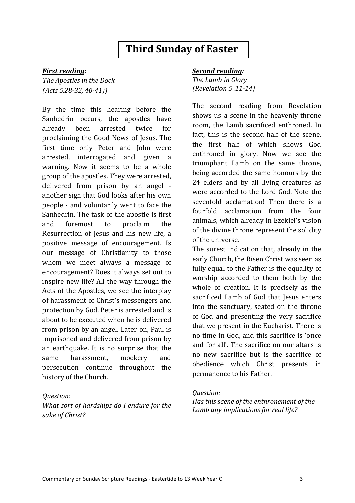# **Third Sunday of Easter**

#### *First reading:*

*The Apostles in the Dock (Acts 5.28-32, 40-41))* 

By the time this hearing before the Sanhedrin occurs, the apostles have already been arrested twice for proclaiming the Good News of Jesus. The first time only Peter and John were arrested, interrogated and given a warning. Now it seems to be a whole group of the apostles. They were arrested, delivered from prison by an angel another sign that God looks after his own people - and voluntarily went to face the Sanhedrin. The task of the apostle is first and foremost to proclaim the Resurrection of Jesus and his new life, a positive message of encouragement. Is our message of Christianity to those whom we meet always a message of encouragement? Does it always set out to inspire new life? All the way through the Acts of the Apostles, we see the interplay of harassment of Christ's messengers and protection by God. Peter is arrested and is about to be executed when he is delivered from prison by an angel. Later on, Paul is imprisoned and delivered from prison by an earthquake. It is no surprise that the same harassment, mockery and persecution continue throughout the history of the Church.

#### *Question:*

*What sort of hardships do I endure for the sake of Christ?*

## **Second reading:**

**The Lamb in Glory** *(Revelation 5 .11-14)*

The second reading from Revelation shows us a scene in the heavenly throne room, the Lamb sacrificed enthroned. In fact, this is the second half of the scene, the first half of which shows God enthroned in glory. Now we see the triumphant Lamb on the same throne, being accorded the same honours by the 24 elders and by all living creatures as were accorded to the Lord God. Note the sevenfold acclamation! Then there is a fourfold acclamation from the four animals, which already in Ezekiel's vision of the divine throne represent the solidity of the universe.

The surest indication that, already in the early Church, the Risen Christ was seen as fully equal to the Father is the equality of worship accorded to them both by the whole of creation. It is precisely as the sacrificed Lamb of God that Jesus enters into the sanctuary, seated on the throne of God and presenting the very sacrifice that we present in the Eucharist. There is no time in God, and this sacrifice is 'once and for all'. The sacrifice on our altars is no new sacrifice but is the sacrifice of obedience which Christ presents in permanence to his Father.

## *Question:*

Has this scene of the enthronement of the Lamb any *implications* for real life?